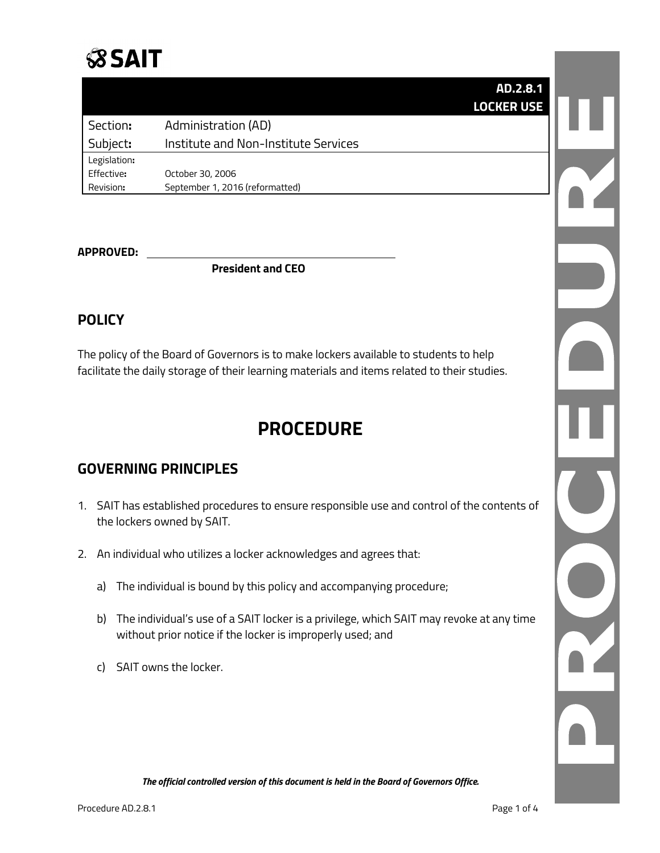

**AD.2.8.1 LOCKER USE**

| Section:     | Administration (AD)                  |
|--------------|--------------------------------------|
| Subject:     | Institute and Non-Institute Services |
| Legislation: |                                      |
| Effective:   | October 30, 2006                     |
| Revision:    | September 1, 2016 (reformatted)      |

#### **APPROVED:**

**President and CEO**

#### **POLICY**

The policy of the Board of Governors is to make lockers available to students to help facilitate the daily storage of their learning materials and items related to their studies.

## **PROCEDURE**

#### **GOVERNING PRINCIPLES**

- 1. SAIT has established procedures to ensure responsible use and control of the contents of the lockers owned by SAIT.
- 2. An individual who utilizes a locker acknowledges and agrees that:
	- a) The individual is bound by this policy and accompanying procedure;
	- b) The individual's use of a SAIT locker is a privilege, which SAIT may revoke at any time without prior notice if the locker is improperly used; and
	- c) SAIT owns the locker.

L

*The official controlled version of this document is held in the Board of Governors Office.*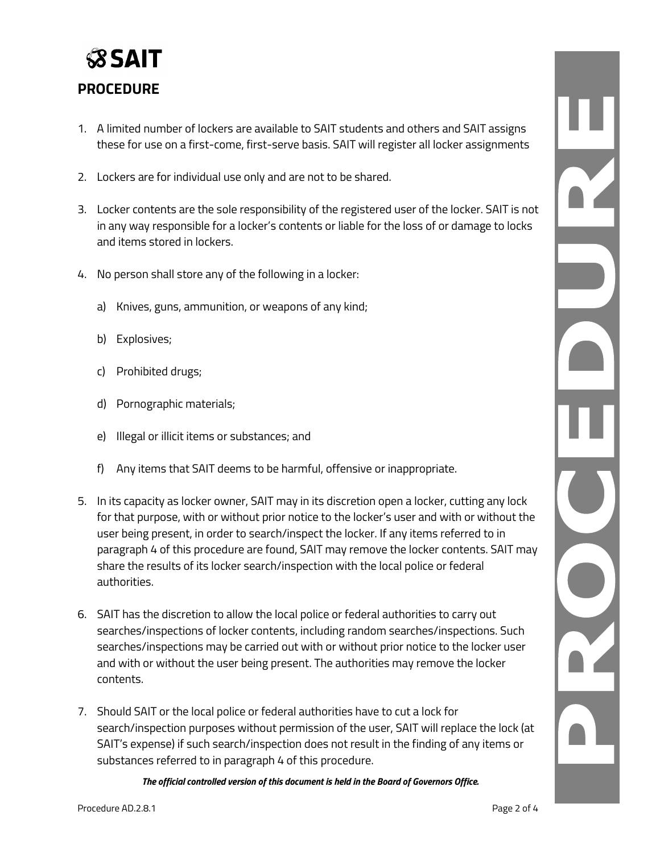## **SSAIT PROCEDURE**

- 1. A limited number of lockers are available to SAIT students and others and SAIT assigns these for use on a first-come, first-serve basis. SAIT will register all locker assignments
- 2. Lockers are for individual use only and are not to be shared.
- 3. Locker contents are the sole responsibility of the registered user of the locker. SAIT is not in any way responsible for a locker's contents or liable for the loss of or damage to locks and items stored in lockers.
- 4. No person shall store any of the following in a locker:
	- a) Knives, guns, ammunition, or weapons of any kind;
	- b) Explosives;
	- c) Prohibited drugs;
	- d) Pornographic materials;
	- e) Illegal or illicit items or substances; and
	- f) Any items that SAIT deems to be harmful, offensive or inappropriate.
- 5. In its capacity as locker owner, SAIT may in its discretion open a locker, cutting any lock for that purpose, with or without prior notice to the locker's user and with or without the user being present, in order to search/inspect the locker. If any items referred to in paragraph 4 of this procedure are found, SAIT may remove the locker contents. SAIT may share the results of its locker search/inspection with the local police or federal authorities.
- 6. SAIT has the discretion to allow the local police or federal authorities to carry out searches/inspections of locker contents, including random searches/inspections. Such searches/inspections may be carried out with or without prior notice to the locker user and with or without the user being present. The authorities may remove the locker contents.
- 7. Should SAIT or the local police or federal authorities have to cut a lock for search/inspection purposes without permission of the user, SAIT will replace the lock (at SAIT's expense) if such search/inspection does not result in the finding of any items or substances referred to in paragraph 4 of this procedure.

*The official controlled version of this document is held in the Board of Governors Office.*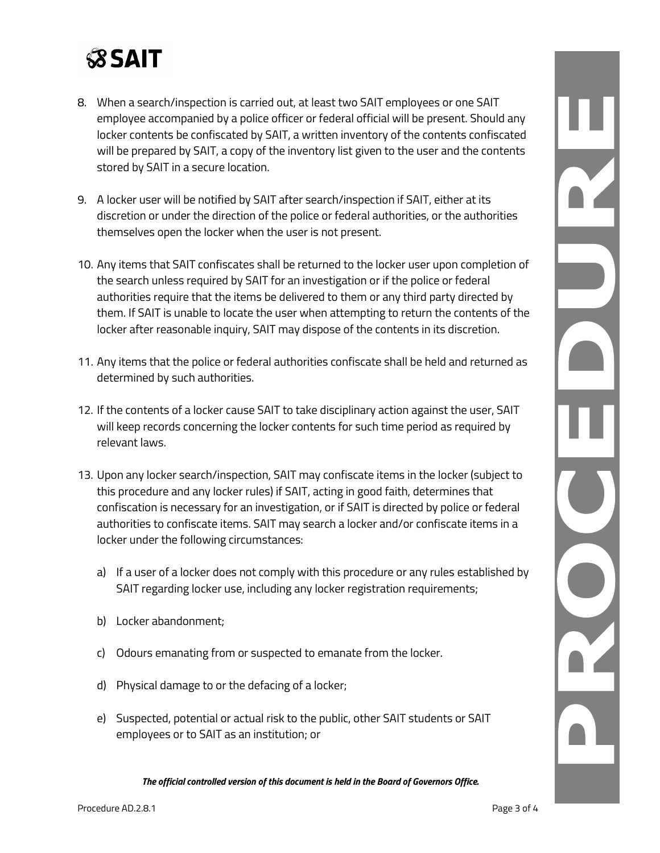# **SSAIT**

- 8. When a search/inspection is carried out, at least two SAIT employees or one SAIT employee accompanied by a police officer or federal official will be present. Should any locker contents be confiscated by SAIT, a written inventory of the contents confiscated will be prepared by SAIT, a copy of the inventory list given to the user and the contents stored by SAIT in a secure location.
- 9. A locker user will be notified by SAIT after search/inspection if SAIT, either at its discretion or under the direction of the police or federal authorities, or the authorities themselves open the locker when the user is not present.
- 10. Any items that SAIT confiscates shall be returned to the locker user upon completion of the search unless required by SAIT for an investigation or if the police or federal authorities require that the items be delivered to them or any third party directed by them. If SAIT is unable to locate the user when attempting to return the contents of the locker after reasonable inquiry, SAIT may dispose of the contents in its discretion.
- 11. Any items that the police or federal authorities confiscate shall be held and returned as determined by such authorities.
- 12. If the contents of a locker cause SAIT to take disciplinary action against the user, SAIT will keep records concerning the locker contents for such time period as required by relevant laws.
- 13. Upon any locker search/inspection, SAIT may confiscate items in the locker (subject to this procedure and any locker rules) if SAIT, acting in good faith, determines that confiscation is necessary for an investigation, or if SAIT is directed by police or federal authorities to confiscate items. SAIT may search a locker and/or confiscate items in a locker under the following circumstances:
	- a) If a user of a locker does not comply with this procedure or any rules established by SAIT regarding locker use, including any locker registration requirements;
	- b) Locker abandonment;
	- c) Odours emanating from or suspected to emanate from the locker.
	- d) Physical damage to or the defacing of a locker;
	- e) Suspected, potential or actual risk to the public, other SAIT students or SAIT employees or to SAIT as an institution; or

*The official controlled version of this document is held in the Board of Governors Office.*

L